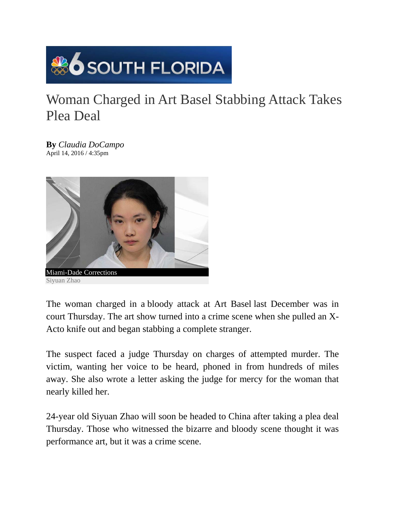

## Woman Charged in Art Basel Stabbing Attack Takes Plea Deal

**By** *Claudia DoCampo*  April 14, 2016 / 4:35pm



The woman charged in a bloody attack at Art Basel last December was in court Thursday. The art show turned into a crime scene when she pulled an X-Acto knife out and began stabbing a complete stranger.

The suspect faced a judge Thursday on charges of attempted murder. The victim, wanting her voice to be heard, phoned in from hundreds of miles away. She also wrote a letter asking the judge for mercy for the woman that nearly killed her.

24-year old Siyuan Zhao will soon be headed to China after taking a plea deal Thursday. Those who witnessed the bizarre and bloody scene thought it was performance art, but it was a crime scene.